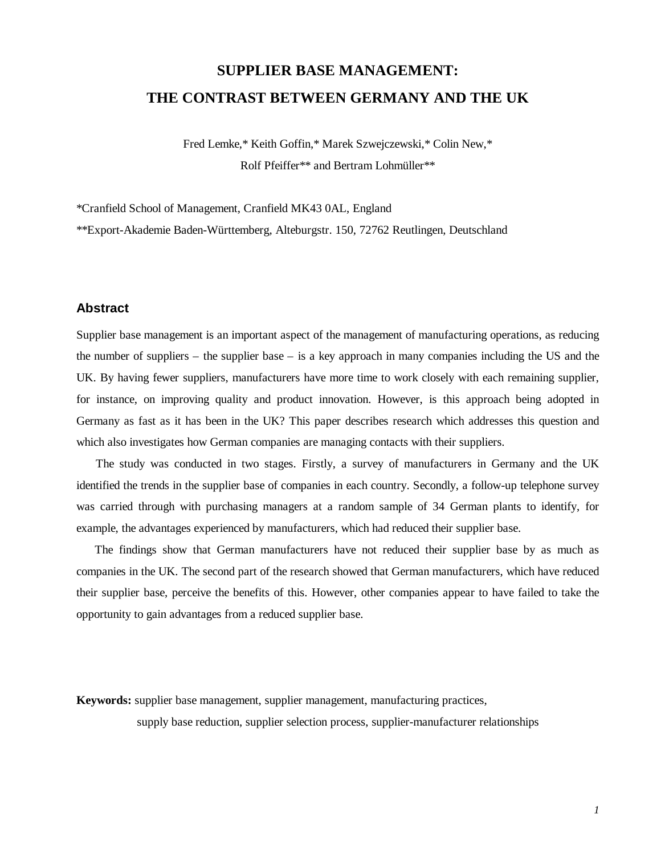# **SUPPLIER BASE MANAGEMENT: THE CONTRAST BETWEEN GERMANY AND THE UK**

Fred Lemke,\* Keith Goffin,\* Marek Szwejczewski,\* Colin New,\* Rolf Pfeiffer\*\* and Bertram Lohmüller\*\*

\*Cranfield School of Management, Cranfield MK43 0AL, England

\*\*Export-Akademie Baden-Württemberg, Alteburgstr. 150, 72762 Reutlingen, Deutschland

# **Abstract**

Supplier base management is an important aspect of the management of manufacturing operations, as reducing the number of suppliers – the supplier base – is a key approach in many companies including the US and the UK. By having fewer suppliers, manufacturers have more time to work closely with each remaining supplier, for instance, on improving quality and product innovation. However, is this approach being adopted in Germany as fast as it has been in the UK? This paper describes research which addresses this question and which also investigates how German companies are managing contacts with their suppliers.

The study was conducted in two stages. Firstly, a survey of manufacturers in Germany and the UK identified the trends in the supplier base of companies in each country. Secondly, a follow-up telephone survey was carried through with purchasing managers at a random sample of 34 German plants to identify, for example, the advantages experienced by manufacturers, which had reduced their supplier base.

The findings show that German manufacturers have not reduced their supplier base by as much as companies in the UK. The second part of the research showed that German manufacturers, which have reduced their supplier base, perceive the benefits of this. However, other companies appear to have failed to take the opportunity to gain advantages from a reduced supplier base.

**Keywords:** supplier base management, supplier management, manufacturing practices,

supply base reduction, supplier selection process, supplier-manufacturer relationships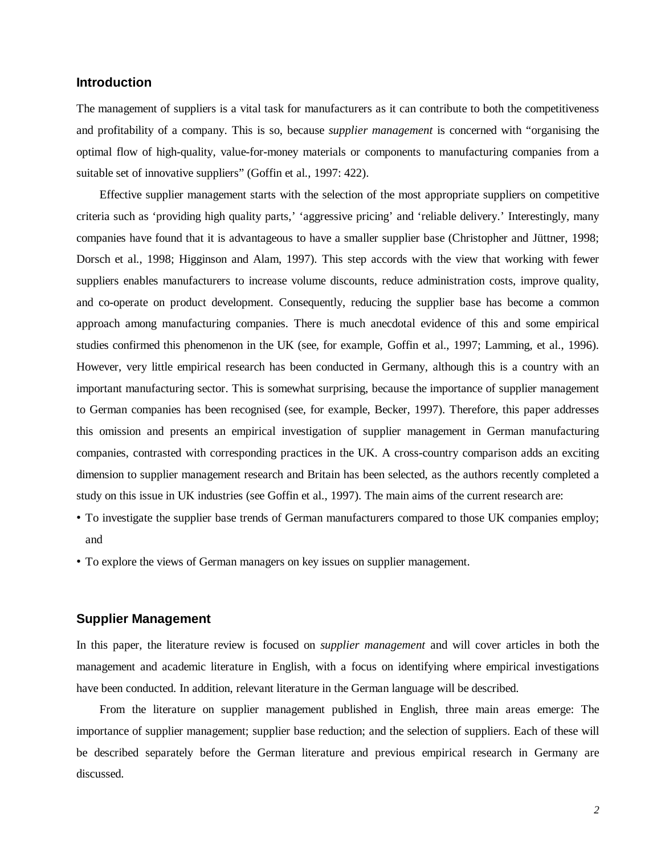# **Introduction**

The management of suppliers is a vital task for manufacturers as it can contribute to both the competitiveness and profitability of a company. This is so, because *supplier management* is concerned with "organising the optimal flow of high-quality, value-for-money materials or components to manufacturing companies from a suitable set of innovative suppliers" (Goffin et al., 1997: 422).

Effective supplier management starts with the selection of the most appropriate suppliers on competitive criteria such as 'providing high quality parts,' 'aggressive pricing' and 'reliable delivery.' Interestingly, many companies have found that it is advantageous to have a smaller supplier base (Christopher and Jüttner, 1998; Dorsch et al., 1998; Higginson and Alam, 1997). This step accords with the view that working with fewer suppliers enables manufacturers to increase volume discounts, reduce administration costs, improve quality, and co-operate on product development. Consequently, reducing the supplier base has become a common approach among manufacturing companies. There is much anecdotal evidence of this and some empirical studies confirmed this phenomenon in the UK (see, for example, Goffin et al., 1997; Lamming, et al., 1996). However, very little empirical research has been conducted in Germany, although this is a country with an important manufacturing sector. This is somewhat surprising, because the importance of supplier management to German companies has been recognised (see, for example, Becker, 1997). Therefore, this paper addresses this omission and presents an empirical investigation of supplier management in German manufacturing companies, contrasted with corresponding practices in the UK. A cross-country comparison adds an exciting dimension to supplier management research and Britain has been selected, as the authors recently completed a study on this issue in UK industries (see Goffin et al., 1997). The main aims of the current research are:

- •To investigate the supplier base trends of German manufacturers compared to those UK companies employ; and
- •To explore the views of German managers on key issues on supplier management.

# **Supplier Management**

In this paper, the literature review is focused on *supplier management* and will cover articles in both the management and academic literature in English, with a focus on identifying where empirical investigations have been conducted. In addition, relevant literature in the German language will be described.

From the literature on supplier management published in English, three main areas emerge: The importance of supplier management; supplier base reduction; and the selection of suppliers. Each of these will be described separately before the German literature and previous empirical research in Germany are discussed.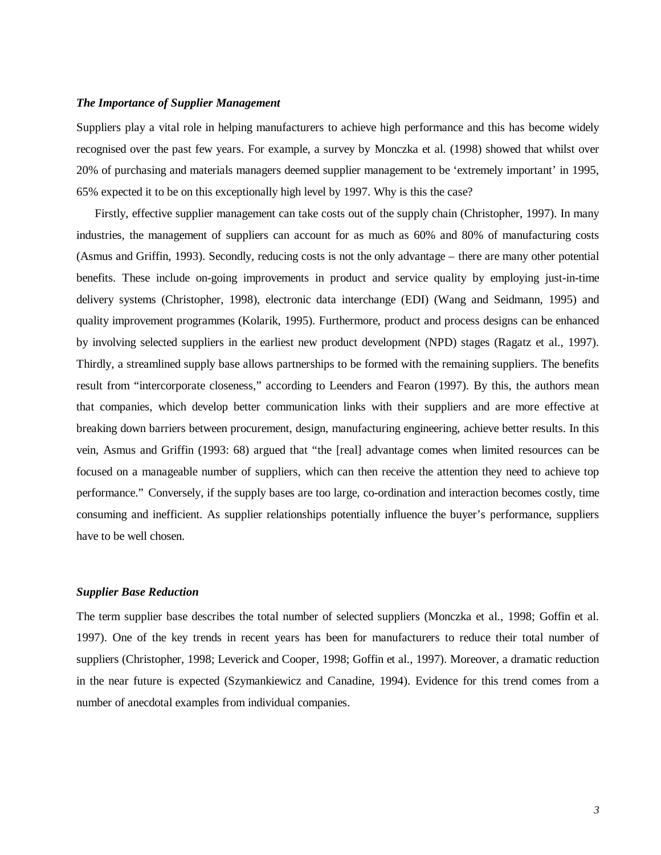#### *The Importance of Supplier Management*

Suppliers play a vital role in helping manufacturers to achieve high performance and this has become widely recognised over the past few years. For example, a survey by Monczka et al. (1998) showed that whilst over 20% of purchasing and materials managers deemed supplier management to be 'extremely important' in 1995, 65% expected it to be on this exceptionally high level by 1997. Why is this the case?

Firstly, effective supplier management can take costs out of the supply chain (Christopher, 1997). In many industries, the management of suppliers can account for as much as 60% and 80% of manufacturing costs (Asmus and Griffin, 1993). Secondly, reducing costs is not the only advantage – there are many other potential benefits. These include on-going improvements in product and service quality by employing just-in-time delivery systems (Christopher, 1998), electronic data interchange (EDI) (Wang and Seidmann, 1995) and quality improvement programmes (Kolarik, 1995). Furthermore, product and process designs can be enhanced by involving selected suppliers in the earliest new product development (NPD) stages (Ragatz et al., 1997). Thirdly, a streamlined supply base allows partnerships to be formed with the remaining suppliers. The benefits result from "intercorporate closeness," according to Leenders and Fearon (1997). By this, the authors mean that companies, which develop better communication links with their suppliers and are more effective at breaking down barriers between procurement, design, manufacturing engineering, achieve better results. In this vein, Asmus and Griffin (1993: 68) argued that "the [real] advantage comes when limited resources can be focused on a manageable number of suppliers, which can then receive the attention they need to achieve top performance." Conversely, if the supply bases are too large, co-ordination and interaction becomes costly, time consuming and inefficient. As supplier relationships potentially influence the buyer's performance, suppliers have to be well chosen.

#### *Supplier Base Reduction*

The term supplier base describes the total number of selected suppliers (Monczka et al., 1998; Goffin et al. 1997). One of the key trends in recent years has been for manufacturers to reduce their total number of suppliers (Christopher, 1998; Leverick and Cooper, 1998; Goffin et al., 1997). Moreover, a dramatic reduction in the near future is expected (Szymankiewicz and Canadine, 1994). Evidence for this trend comes from a number of anecdotal examples from individual companies.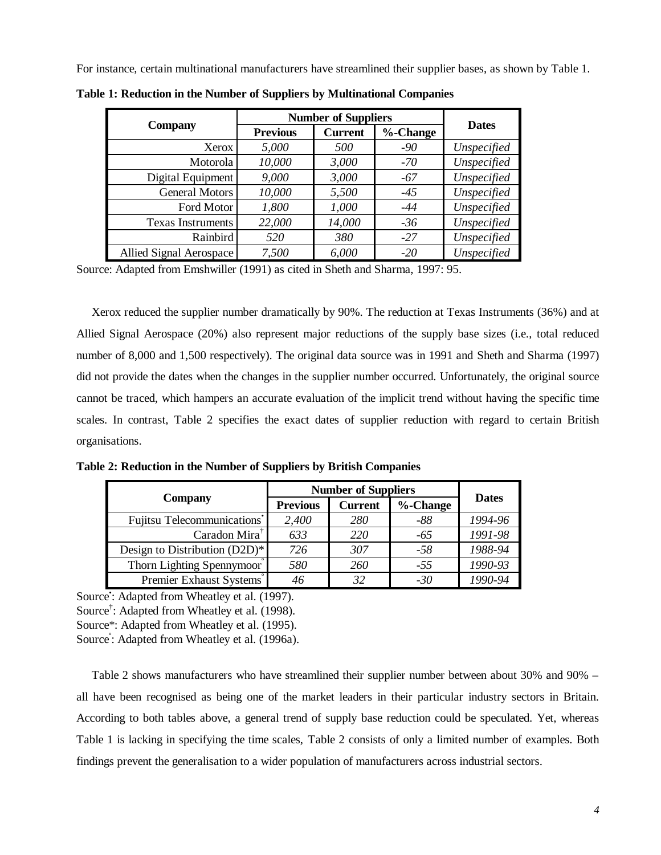For instance, certain multinational manufacturers have streamlined their supplier bases, as shown by Table 1.

|                          | <b>Number of Suppliers</b>        |        |             |              |
|--------------------------|-----------------------------------|--------|-------------|--------------|
| <b>Company</b>           | <b>Previous</b><br><b>Current</b> |        | $%$ -Change | <b>Dates</b> |
| Xerox                    | 5,000                             | 500    | $-90$       | Unspecified  |
| Motorola                 | 10,000                            | 3,000  | $-70$       | Unspecified  |
| Digital Equipment        | 9,000                             | 3,000  | $-67$       | Unspecified  |
| General Motors           | 10,000                            | 5,500  | $-45$       | Unspecified  |
| Ford Motor               | 1,800                             | 1,000  | $-44$       | Unspecified  |
| <b>Texas Instruments</b> | 22,000                            | 14,000 | $-36$       | Unspecified  |
| Rainbird                 | 520                               | 380    | $-27$       | Unspecified  |
| Allied Signal Aerospace  | 7,500                             | 6,000  | $-20$       | Unspecified  |

**Table 1: Reduction in the Number of Suppliers by Multinational Companies**

Source: Adapted from Emshwiller (1991) as cited in Sheth and Sharma, 1997: 95.

Xerox reduced the supplier number dramatically by 90%. The reduction at Texas Instruments (36%) and at Allied Signal Aerospace (20%) also represent major reductions of the supply base sizes (i.e., total reduced number of 8,000 and 1,500 respectively). The original data source was in 1991 and Sheth and Sharma (1997) did not provide the dates when the changes in the supplier number occurred. Unfortunately, the original source cannot be traced, which hampers an accurate evaluation of the implicit trend without having the specific time scales. In contrast, Table 2 specifies the exact dates of supplier reduction with regard to certain British organisations.

**Table 2: Reduction in the Number of Suppliers by British Companies**

|                               | <b>Number of Suppliers</b> |                |          |              |
|-------------------------------|----------------------------|----------------|----------|--------------|
| Company                       | <b>Previous</b>            | <b>Current</b> | %-Change | <b>Dates</b> |
| Fujitsu Telecommunications'   | 2,400                      | <b>280</b>     | $-88$    | 1994-96      |
| Caradon Mira <sup>†</sup>     | 633                        | 220            | $-65$    | 1991-98      |
| Design to Distribution (D2D)* | 726                        | 307            | $-58$    | 1988-94      |
| Thorn Lighting Spennymoor     | 580                        | 260            | $-55$    | 1990-93      |
| Premier Exhaust Systems       | 46                         | 32             | $-30$    | 1990-94      |

Source: Adapted from Wheatley et al. (1997). Source<sup>†</sup>: Adapted from Wheatley et al. (1998). Source\*: Adapted from Wheatley et al. (1995).

Source<sup>2</sup>: Adapted from Wheatley et al. (1996a).

Table 2 shows manufacturers who have streamlined their supplier number between about 30% and 90% – all have been recognised as being one of the market leaders in their particular industry sectors in Britain. According to both tables above, a general trend of supply base reduction could be speculated. Yet, whereas Table 1 is lacking in specifying the time scales, Table 2 consists of only a limited number of examples. Both findings prevent the generalisation to a wider population of manufacturers across industrial sectors.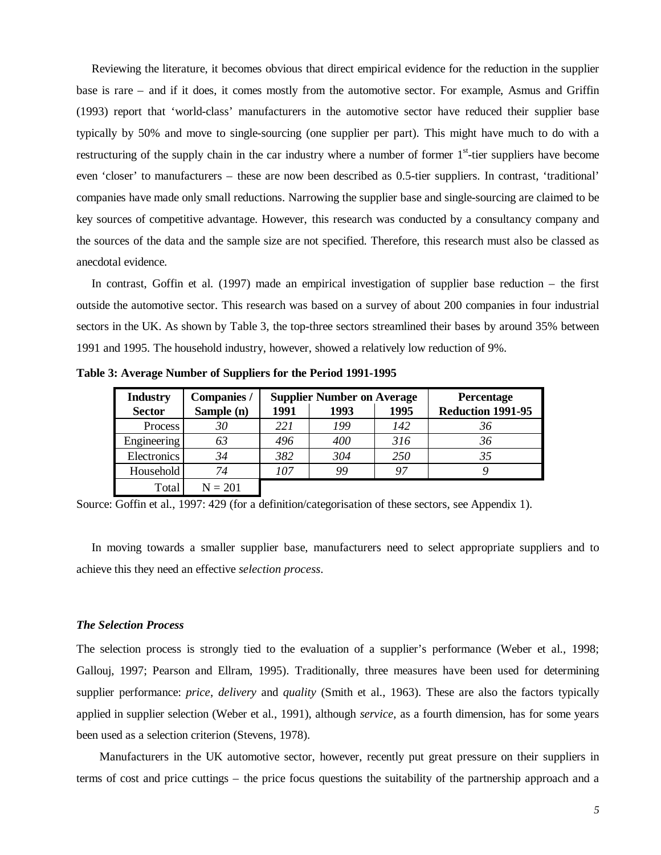Reviewing the literature, it becomes obvious that direct empirical evidence for the reduction in the supplier base is rare – and if it does, it comes mostly from the automotive sector. For example, Asmus and Griffin (1993) report that 'world-class' manufacturers in the automotive sector have reduced their supplier base typically by 50% and move to single-sourcing (one supplier per part). This might have much to do with a restructuring of the supply chain in the car industry where a number of former  $1<sup>st</sup>$ -tier suppliers have become even 'closer' to manufacturers – these are now been described as 0.5-tier suppliers. In contrast, 'traditional' companies have made only small reductions. Narrowing the supplier base and single-sourcing are claimed to be key sources of competitive advantage. However, this research was conducted by a consultancy company and the sources of the data and the sample size are not specified. Therefore, this research must also be classed as anecdotal evidence.

In contrast, Goffin et al. (1997) made an empirical investigation of supplier base reduction – the first outside the automotive sector. This research was based on a survey of about 200 companies in four industrial sectors in the UK. As shown by Table 3, the top-three sectors streamlined their bases by around 35% between 1991 and 1995. The household industry, however, showed a relatively low reduction of 9%.

**Table 3: Average Number of Suppliers for the Period 1991-1995**

| <b>Industry</b> | Companies / |      | <b>Supplier Number on Average</b> | Percentage |                   |
|-----------------|-------------|------|-----------------------------------|------------|-------------------|
| <b>Sector</b>   | Sample (n)  | 1991 | 1993                              | 1995       | Reduction 1991-95 |
| Process         | 30          | 221  | 199                               | 142        | 36                |
| Engineering     | 63          | 496  | 400                               | 316        | 36                |
| Electronics     | 34          | 382  | 304                               | 250        | 35                |
| Household       | 74          | 107  | 99                                | 97         |                   |
| Total           | $N = 201$   |      |                                   |            |                   |

Source: Goffin et al., 1997: 429 (for a definition/categorisation of these sectors, see Appendix 1).

In moving towards a smaller supplier base, manufacturers need to select appropriate suppliers and to achieve this they need an effective *selection process*.

#### *The Selection Process*

The selection process is strongly tied to the evaluation of a supplier's performance (Weber et al., 1998; Gallouj, 1997; Pearson and Ellram, 1995). Traditionally, three measures have been used for determining supplier performance: *price*, *delivery* and *quality* (Smith et al., 1963). These are also the factors typically applied in supplier selection (Weber et al., 1991), although *service*, as a fourth dimension, has for some years been used as a selection criterion (Stevens, 1978).

Manufacturers in the UK automotive sector, however, recently put great pressure on their suppliers in terms of cost and price cuttings – the price focus questions the suitability of the partnership approach and a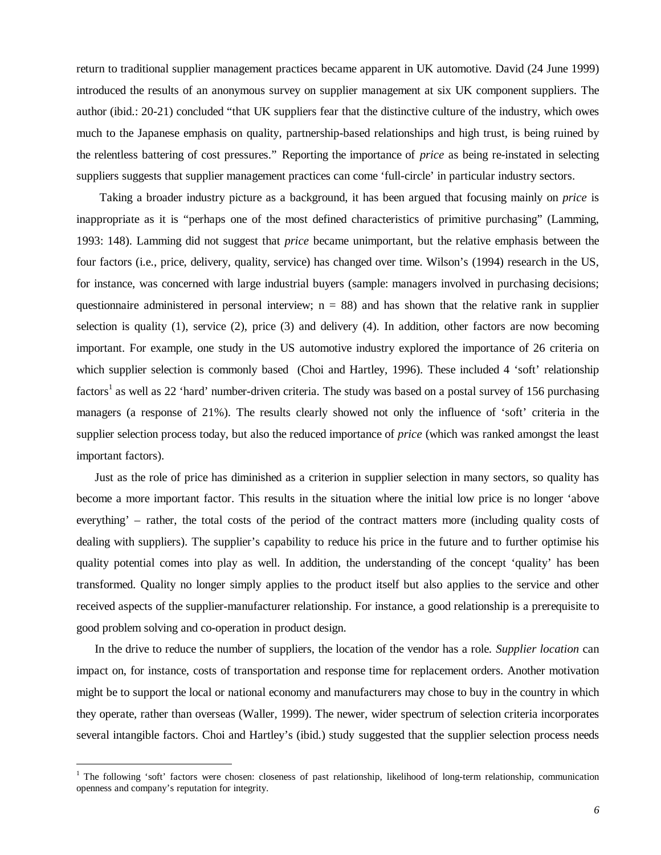return to traditional supplier management practices became apparent in UK automotive. David (24 June 1999) introduced the results of an anonymous survey on supplier management at six UK component suppliers. The author (ibid.: 20-21) concluded "that UK suppliers fear that the distinctive culture of the industry, which owes much to the Japanese emphasis on quality, partnership-based relationships and high trust, is being ruined by the relentless battering of cost pressures." Reporting the importance of *price* as being re-instated in selecting suppliers suggests that supplier management practices can come 'full-circle' in particular industry sectors.

Taking a broader industry picture as a background, it has been argued that focusing mainly on *price* is inappropriate as it is "perhaps one of the most defined characteristics of primitive purchasing" (Lamming, 1993: 148). Lamming did not suggest that *price* became unimportant, but the relative emphasis between the four factors (i.e., price, delivery, quality, service) has changed over time. Wilson's (1994) research in the US, for instance, was concerned with large industrial buyers (sample: managers involved in purchasing decisions; questionnaire administered in personal interview;  $n = 88$ ) and has shown that the relative rank in supplier selection is quality (1), service (2), price (3) and delivery (4). In addition, other factors are now becoming important. For example, one study in the US automotive industry explored the importance of 26 criteria on which supplier selection is commonly based (Choi and Hartley, 1996). These included 4 'soft' relationship factors<sup>1</sup> as well as 22 'hard' number-driven criteria. The study was based on a postal survey of 156 purchasing managers (a response of 21%). The results clearly showed not only the influence of 'soft' criteria in the supplier selection process today, but also the reduced importance of *price* (which was ranked amongst the least important factors).

Just as the role of price has diminished as a criterion in supplier selection in many sectors, so quality has become a more important factor. This results in the situation where the initial low price is no longer 'above everything' – rather, the total costs of the period of the contract matters more (including quality costs of dealing with suppliers). The supplier's capability to reduce his price in the future and to further optimise his quality potential comes into play as well. In addition, the understanding of the concept 'quality' has been transformed. Quality no longer simply applies to the product itself but also applies to the service and other received aspects of the supplier-manufacturer relationship. For instance, a good relationship is a prerequisite to good problem solving and co-operation in product design.

In the drive to reduce the number of suppliers, the location of the vendor has a role. *Supplier location* can impact on, for instance, costs of transportation and response time for replacement orders. Another motivation might be to support the local or national economy and manufacturers may chose to buy in the country in which they operate, rather than overseas (Waller, 1999). The newer, wider spectrum of selection criteria incorporates several intangible factors. Choi and Hartley's (ibid.) study suggested that the supplier selection process needs

l

<sup>&</sup>lt;sup>1</sup> The following 'soft' factors were chosen: closeness of past relationship, likelihood of long-term relationship, communication openness and company's reputation for integrity.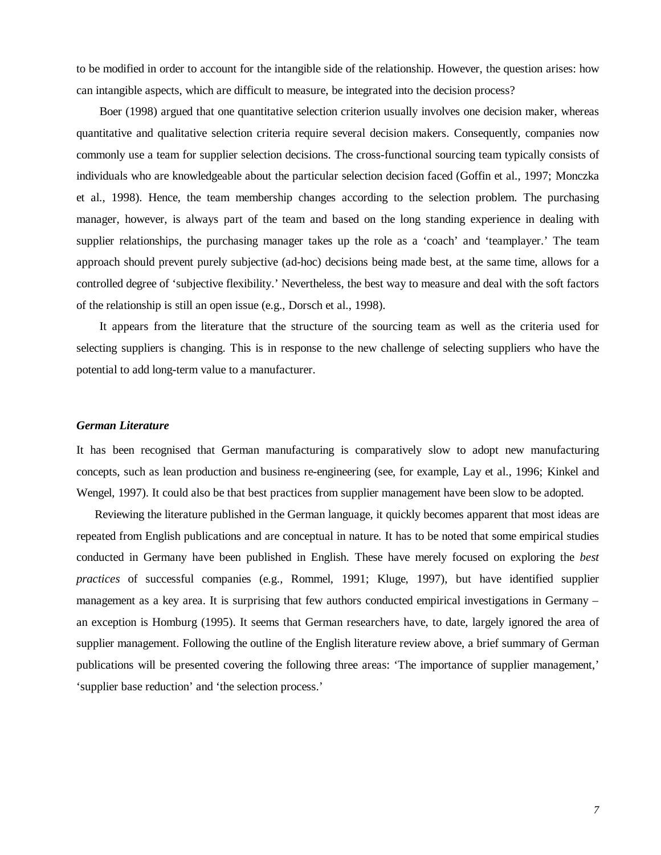to be modified in order to account for the intangible side of the relationship. However, the question arises: how can intangible aspects, which are difficult to measure, be integrated into the decision process?

Boer (1998) argued that one quantitative selection criterion usually involves one decision maker, whereas quantitative and qualitative selection criteria require several decision makers. Consequently, companies now commonly use a team for supplier selection decisions. The cross-functional sourcing team typically consists of individuals who are knowledgeable about the particular selection decision faced (Goffin et al., 1997; Monczka et al., 1998). Hence, the team membership changes according to the selection problem. The purchasing manager, however, is always part of the team and based on the long standing experience in dealing with supplier relationships, the purchasing manager takes up the role as a 'coach' and 'teamplayer.' The team approach should prevent purely subjective (ad-hoc) decisions being made best, at the same time, allows for a controlled degree of 'subjective flexibility.' Nevertheless, the best way to measure and deal with the soft factors of the relationship is still an open issue (e.g., Dorsch et al., 1998).

It appears from the literature that the structure of the sourcing team as well as the criteria used for selecting suppliers is changing. This is in response to the new challenge of selecting suppliers who have the potential to add long-term value to a manufacturer.

#### *German Literature*

It has been recognised that German manufacturing is comparatively slow to adopt new manufacturing concepts, such as lean production and business re-engineering (see, for example, Lay et al., 1996; Kinkel and Wengel, 1997). It could also be that best practices from supplier management have been slow to be adopted.

Reviewing the literature published in the German language, it quickly becomes apparent that most ideas are repeated from English publications and are conceptual in nature. It has to be noted that some empirical studies conducted in Germany have been published in English. These have merely focused on exploring the *best practices* of successful companies (e.g., Rommel, 1991; Kluge, 1997), but have identified supplier management as a key area. It is surprising that few authors conducted empirical investigations in Germany – an exception is Homburg (1995). It seems that German researchers have, to date, largely ignored the area of supplier management. Following the outline of the English literature review above, a brief summary of German publications will be presented covering the following three areas: 'The importance of supplier management,' 'supplier base reduction' and 'the selection process.'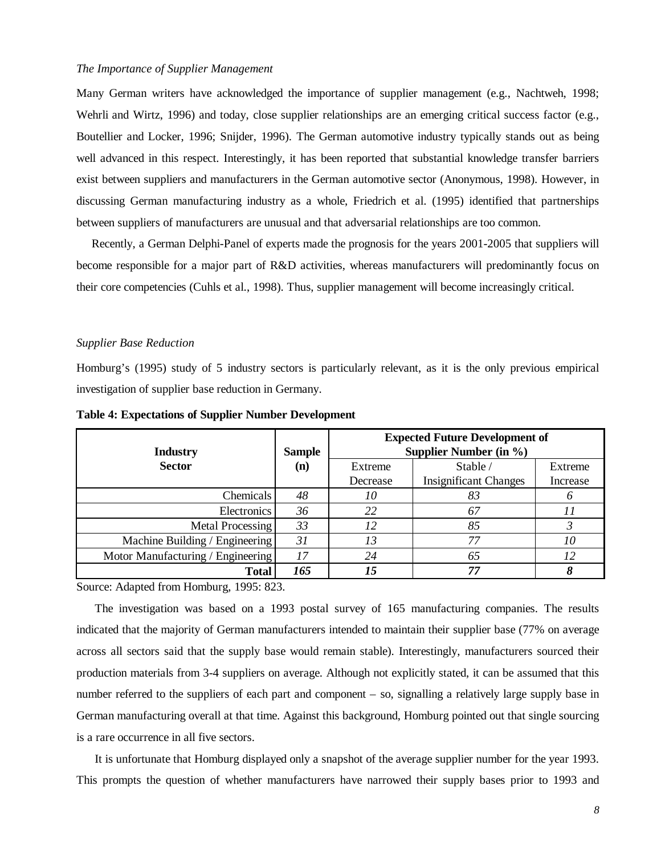#### *The Importance of Supplier Management*

Many German writers have acknowledged the importance of supplier management (e.g., Nachtweh, 1998; Wehrli and Wirtz, 1996) and today, close supplier relationships are an emerging critical success factor (e.g., Boutellier and Locker, 1996; Snijder, 1996). The German automotive industry typically stands out as being well advanced in this respect. Interestingly, it has been reported that substantial knowledge transfer barriers exist between suppliers and manufacturers in the German automotive sector (Anonymous, 1998). However, in discussing German manufacturing industry as a whole, Friedrich et al. (1995) identified that partnerships between suppliers of manufacturers are unusual and that adversarial relationships are too common.

Recently, a German Delphi-Panel of experts made the prognosis for the years 2001-2005 that suppliers will become responsible for a major part of R&D activities, whereas manufacturers will predominantly focus on their core competencies (Cuhls et al., 1998). Thus, supplier management will become increasingly critical.

#### *Supplier Base Reduction*

Homburg's (1995) study of 5 industry sectors is particularly relevant, as it is the only previous empirical investigation of supplier base reduction in Germany.

| <b>Industry</b>                   | <b>Sample</b> | <b>Expected Future Development of</b><br>Supplier Number (in %) |                              |          |  |
|-----------------------------------|---------------|-----------------------------------------------------------------|------------------------------|----------|--|
| <b>Sector</b>                     | (n)           | Extreme                                                         | Stable /                     | Extreme  |  |
|                                   |               | Decrease                                                        | <b>Insignificant Changes</b> | Increase |  |
| Chemicals                         | 48            | 10                                                              | 83                           |          |  |
| Electronics                       | 36            | 22                                                              | 67                           |          |  |
| <b>Metal Processing</b>           | 33            | 12                                                              | 85                           |          |  |
| Machine Building / Engineering    | 31            | 13                                                              | 77                           | 10       |  |
| Motor Manufacturing / Engineering | 17            | 24                                                              | 65                           | 12       |  |
| <b>Total</b>                      | 165           | 15                                                              | 77                           |          |  |

**Table 4: Expectations of Supplier Number Development**

Source: Adapted from Homburg, 1995: 823.

The investigation was based on a 1993 postal survey of 165 manufacturing companies. The results indicated that the majority of German manufacturers intended to maintain their supplier base (77% on average across all sectors said that the supply base would remain stable). Interestingly, manufacturers sourced their production materials from 3-4 suppliers on average. Although not explicitly stated, it can be assumed that this number referred to the suppliers of each part and component – so, signalling a relatively large supply base in German manufacturing overall at that time. Against this background, Homburg pointed out that single sourcing is a rare occurrence in all five sectors.

It is unfortunate that Homburg displayed only a snapshot of the average supplier number for the year 1993. This prompts the question of whether manufacturers have narrowed their supply bases prior to 1993 and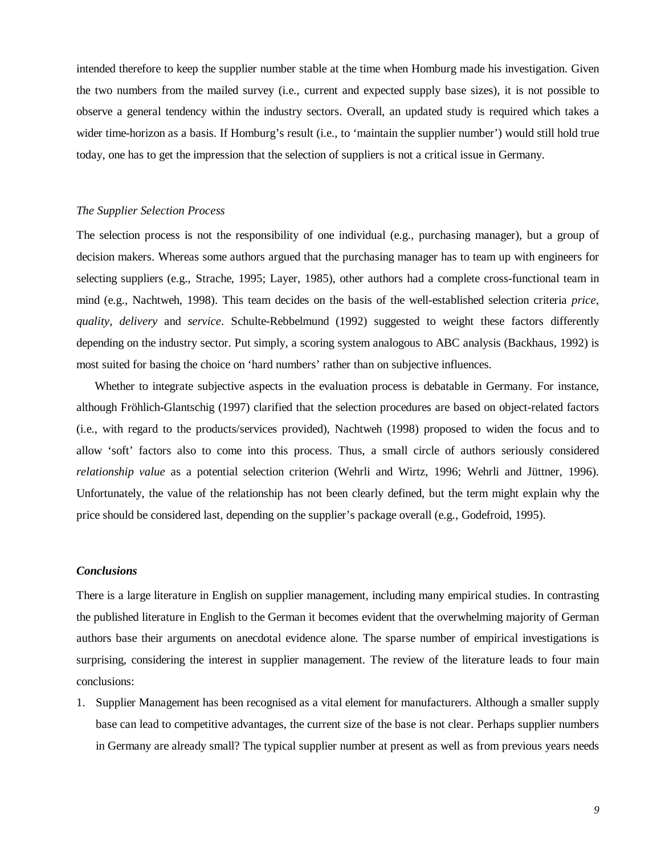intended therefore to keep the supplier number stable at the time when Homburg made his investigation. Given the two numbers from the mailed survey (i.e., current and expected supply base sizes), it is not possible to observe a general tendency within the industry sectors. Overall, an updated study is required which takes a wider time-horizon as a basis. If Homburg's result (i.e., to 'maintain the supplier number') would still hold true today, one has to get the impression that the selection of suppliers is not a critical issue in Germany.

#### *The Supplier Selection Process*

The selection process is not the responsibility of one individual (e.g., purchasing manager), but a group of decision makers. Whereas some authors argued that the purchasing manager has to team up with engineers for selecting suppliers (e.g., Strache, 1995; Layer, 1985), other authors had a complete cross-functional team in mind (e.g., Nachtweh, 1998). This team decides on the basis of the well-established selection criteria *price*, *quality*, *delivery* and *service*. Schulte-Rebbelmund (1992) suggested to weight these factors differently depending on the industry sector. Put simply, a scoring system analogous to ABC analysis (Backhaus, 1992) is most suited for basing the choice on 'hard numbers' rather than on subjective influences.

Whether to integrate subjective aspects in the evaluation process is debatable in Germany. For instance, although Fröhlich-Glantschig (1997) clarified that the selection procedures are based on object-related factors (i.e., with regard to the products/services provided), Nachtweh (1998) proposed to widen the focus and to allow 'soft' factors also to come into this process. Thus, a small circle of authors seriously considered *relationship value* as a potential selection criterion (Wehrli and Wirtz, 1996; Wehrli and Jüttner, 1996). Unfortunately, the value of the relationship has not been clearly defined, but the term might explain why the price should be considered last, depending on the supplier's package overall (e.g., Godefroid, 1995).

#### *Conclusions*

There is a large literature in English on supplier management, including many empirical studies. In contrasting the published literature in English to the German it becomes evident that the overwhelming majority of German authors base their arguments on anecdotal evidence alone. The sparse number of empirical investigations is surprising, considering the interest in supplier management. The review of the literature leads to four main conclusions:

1. Supplier Management has been recognised as a vital element for manufacturers. Although a smaller supply base can lead to competitive advantages, the current size of the base is not clear. Perhaps supplier numbers in Germany are already small? The typical supplier number at present as well as from previous years needs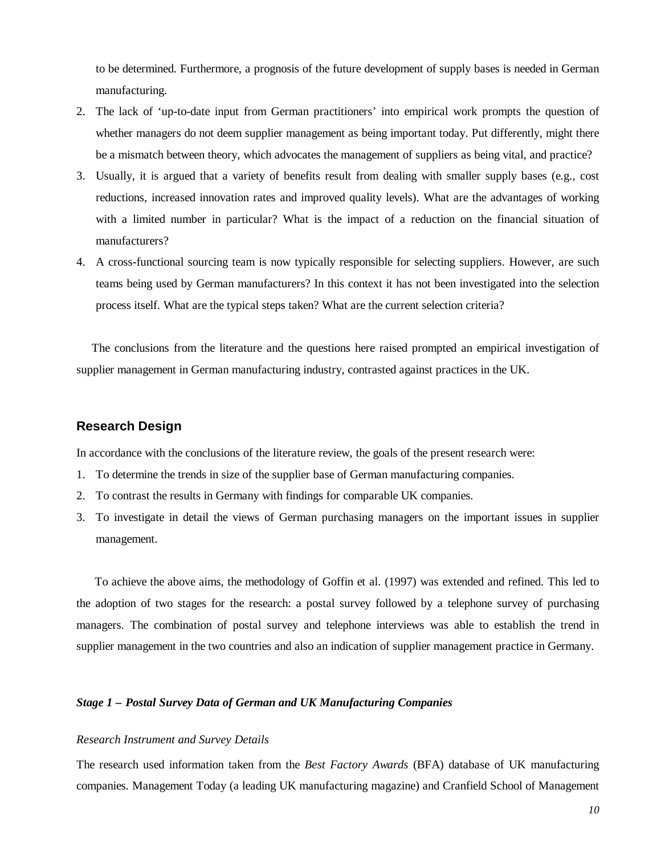to be determined. Furthermore, a prognosis of the future development of supply bases is needed in German manufacturing.

- 2. The lack of 'up-to-date input from German practitioners' into empirical work prompts the question of whether managers do not deem supplier management as being important today. Put differently, might there be a mismatch between theory, which advocates the management of suppliers as being vital, and practice?
- 3. Usually, it is argued that a variety of benefits result from dealing with smaller supply bases (e.g., cost reductions, increased innovation rates and improved quality levels). What are the advantages of working with a limited number in particular? What is the impact of a reduction on the financial situation of manufacturers?
- 4. A cross-functional sourcing team is now typically responsible for selecting suppliers. However, are such teams being used by German manufacturers? In this context it has not been investigated into the selection process itself. What are the typical steps taken? What are the current selection criteria?

The conclusions from the literature and the questions here raised prompted an empirical investigation of supplier management in German manufacturing industry, contrasted against practices in the UK.

# **Research Design**

In accordance with the conclusions of the literature review, the goals of the present research were:

- 1. To determine the trends in size of the supplier base of German manufacturing companies.
- 2. To contrast the results in Germany with findings for comparable UK companies.
- 3. To investigate in detail the views of German purchasing managers on the important issues in supplier management.

To achieve the above aims, the methodology of Goffin et al. (1997) was extended and refined. This led to the adoption of two stages for the research: a postal survey followed by a telephone survey of purchasing managers. The combination of postal survey and telephone interviews was able to establish the trend in supplier management in the two countries and also an indication of supplier management practice in Germany.

# *Stage 1 – Postal Survey Data of German and UK Manufacturing Companies*

#### *Research Instrument and Survey Details*

The research used information taken from the *Best Factory Awards* (BFA) database of UK manufacturing companies. Management Today (a leading UK manufacturing magazine) and Cranfield School of Management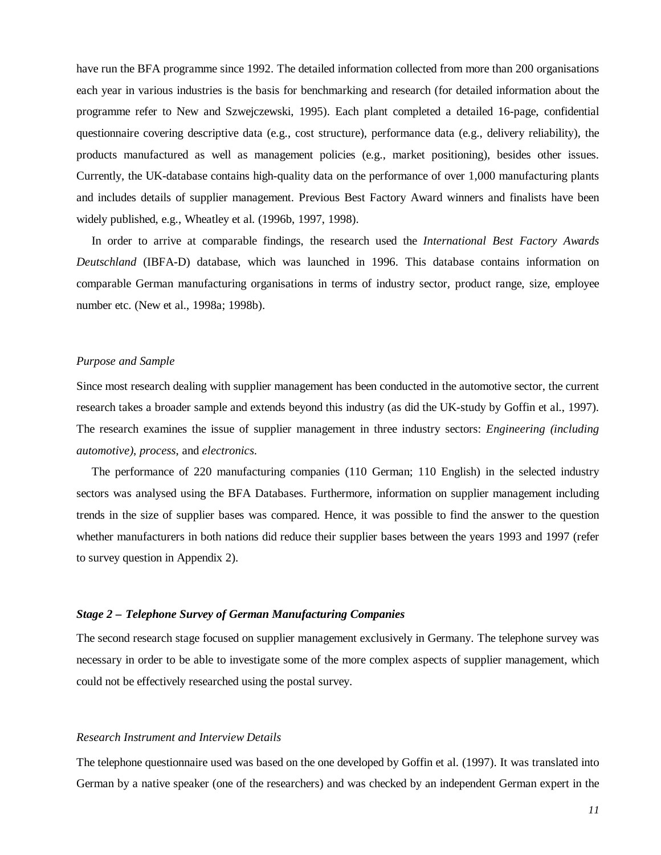have run the BFA programme since 1992. The detailed information collected from more than 200 organisations each year in various industries is the basis for benchmarking and research (for detailed information about the programme refer to New and Szwejczewski, 1995). Each plant completed a detailed 16-page, confidential questionnaire covering descriptive data (e.g., cost structure), performance data (e.g., delivery reliability), the products manufactured as well as management policies (e.g., market positioning), besides other issues. Currently, the UK-database contains high-quality data on the performance of over 1,000 manufacturing plants and includes details of supplier management. Previous Best Factory Award winners and finalists have been widely published, e.g., Wheatley et al. (1996b, 1997, 1998).

In order to arrive at comparable findings, the research used the *International Best Factory Awards Deutschland* (IBFA-D) database, which was launched in 1996. This database contains information on comparable German manufacturing organisations in terms of industry sector, product range, size, employee number etc. (New et al., 1998a; 1998b).

#### *Purpose and Sample*

Since most research dealing with supplier management has been conducted in the automotive sector, the current research takes a broader sample and extends beyond this industry (as did the UK-study by Goffin et al., 1997). The research examines the issue of supplier management in three industry sectors: *Engineering (including automotive)*, *process*, and *electronics*.

The performance of 220 manufacturing companies (110 German; 110 English) in the selected industry sectors was analysed using the BFA Databases. Furthermore, information on supplier management including trends in the size of supplier bases was compared. Hence, it was possible to find the answer to the question whether manufacturers in both nations did reduce their supplier bases between the years 1993 and 1997 (refer to survey question in Appendix 2).

#### *Stage 2 – Telephone Survey of German Manufacturing Companies*

The second research stage focused on supplier management exclusively in Germany. The telephone survey was necessary in order to be able to investigate some of the more complex aspects of supplier management, which could not be effectively researched using the postal survey.

#### *Research Instrument and Interview Details*

The telephone questionnaire used was based on the one developed by Goffin et al. (1997). It was translated into German by a native speaker (one of the researchers) and was checked by an independent German expert in the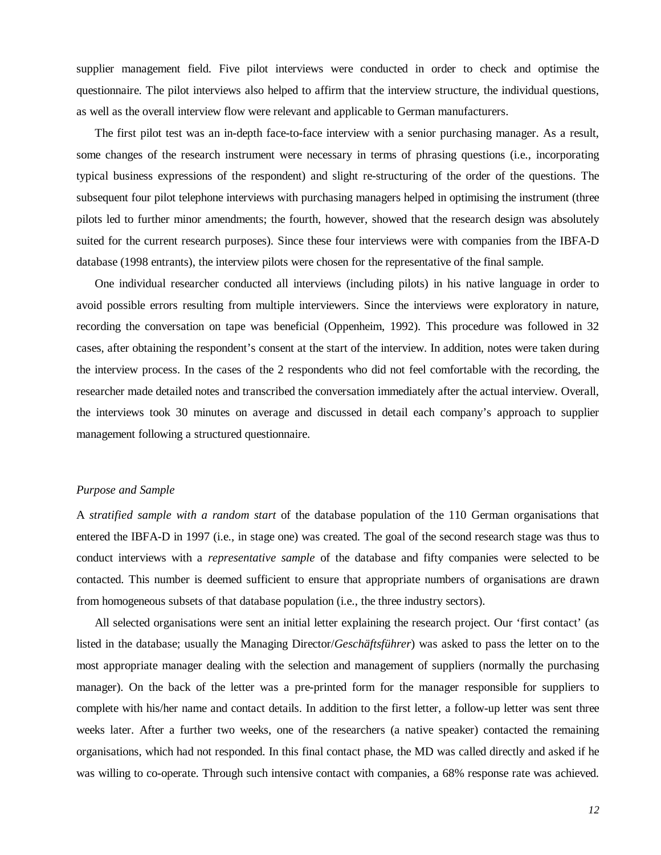supplier management field. Five pilot interviews were conducted in order to check and optimise the questionnaire. The pilot interviews also helped to affirm that the interview structure, the individual questions, as well as the overall interview flow were relevant and applicable to German manufacturers.

The first pilot test was an in-depth face-to-face interview with a senior purchasing manager. As a result, some changes of the research instrument were necessary in terms of phrasing questions (i.e., incorporating typical business expressions of the respondent) and slight re-structuring of the order of the questions. The subsequent four pilot telephone interviews with purchasing managers helped in optimising the instrument (three pilots led to further minor amendments; the fourth, however, showed that the research design was absolutely suited for the current research purposes). Since these four interviews were with companies from the IBFA-D database (1998 entrants), the interview pilots were chosen for the representative of the final sample.

One individual researcher conducted all interviews (including pilots) in his native language in order to avoid possible errors resulting from multiple interviewers. Since the interviews were exploratory in nature, recording the conversation on tape was beneficial (Oppenheim, 1992). This procedure was followed in 32 cases, after obtaining the respondent's consent at the start of the interview. In addition, notes were taken during the interview process. In the cases of the 2 respondents who did not feel comfortable with the recording, the researcher made detailed notes and transcribed the conversation immediately after the actual interview. Overall, the interviews took 30 minutes on average and discussed in detail each company's approach to supplier management following a structured questionnaire.

#### *Purpose and Sample*

A *stratified sample with a random start* of the database population of the 110 German organisations that entered the IBFA-D in 1997 (i.e., in stage one) was created. The goal of the second research stage was thus to conduct interviews with a *representative sample* of the database and fifty companies were selected to be contacted. This number is deemed sufficient to ensure that appropriate numbers of organisations are drawn from homogeneous subsets of that database population (i.e., the three industry sectors).

All selected organisations were sent an initial letter explaining the research project. Our 'first contact' (as listed in the database; usually the Managing Director/*Geschäftsführer*) was asked to pass the letter on to the most appropriate manager dealing with the selection and management of suppliers (normally the purchasing manager). On the back of the letter was a pre-printed form for the manager responsible for suppliers to complete with his/her name and contact details. In addition to the first letter, a follow-up letter was sent three weeks later. After a further two weeks, one of the researchers (a native speaker) contacted the remaining organisations, which had not responded. In this final contact phase, the MD was called directly and asked if he was willing to co-operate. Through such intensive contact with companies, a 68% response rate was achieved.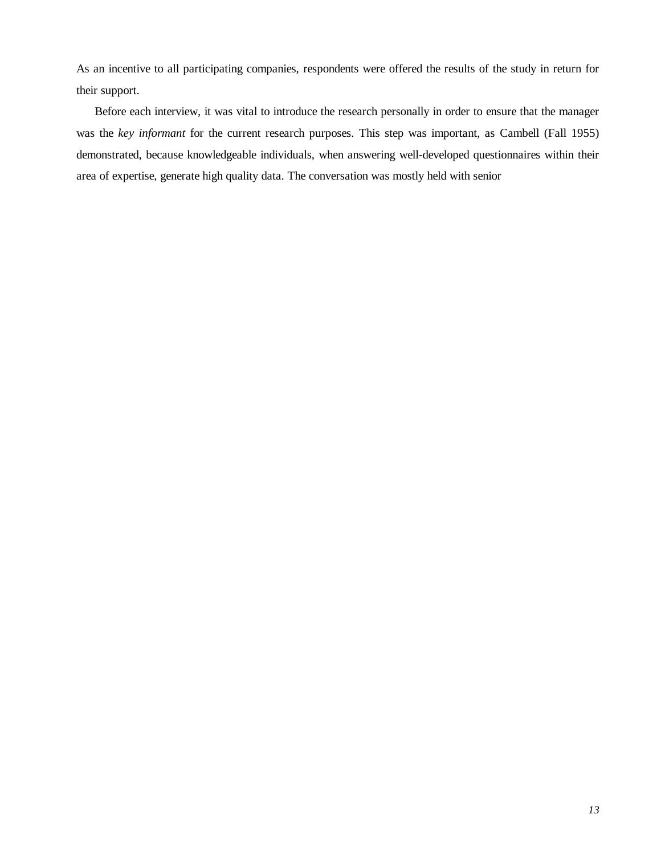As an incentive to all participating companies, respondents were offered the results of the study in return for their support.

Before each interview, it was vital to introduce the research personally in order to ensure that the manager was the *key informant* for the current research purposes. This step was important, as Cambell (Fall 1955) demonstrated, because knowledgeable individuals, when answering well-developed questionnaires within their area of expertise, generate high quality data. The conversation was mostly held with senior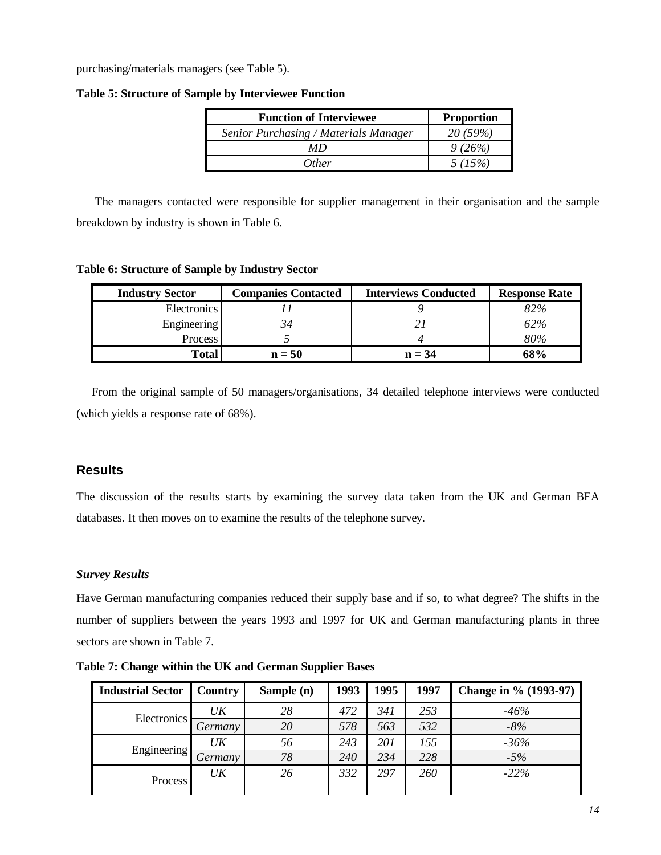purchasing/materials managers (see Table 5).

| <b>Function of Interviewee</b>        | <b>Proportion</b> |
|---------------------------------------|-------------------|
| Senior Purchasing / Materials Manager | 20(59%)           |
| МD                                    | 9(26%)            |
| <i>Other</i>                          | 5(15%)            |

**Table 5: Structure of Sample by Interviewee Function**

The managers contacted were responsible for supplier management in their organisation and the sample breakdown by industry is shown in Table 6.

**Table 6: Structure of Sample by Industry Sector**

| <b>Industry Sector</b> | <b>Companies Contacted</b> | <b>Interviews Conducted</b> | <b>Response Rate</b> |
|------------------------|----------------------------|-----------------------------|----------------------|
| <b>Electronics</b>     |                            |                             | 82%                  |
| Engineering            |                            |                             | 62%                  |
| Process                |                            |                             | 80%                  |
| <b>Total</b>           | $n = 50$                   | $n = 34$                    | 68%                  |

From the original sample of 50 managers/organisations, 34 detailed telephone interviews were conducted (which yields a response rate of 68%).

# **Results**

The discussion of the results starts by examining the survey data taken from the UK and German BFA databases. It then moves on to examine the results of the telephone survey.

# *Survey Results*

Have German manufacturing companies reduced their supply base and if so, to what degree? The shifts in the number of suppliers between the years 1993 and 1997 for UK and German manufacturing plants in three sectors are shown in Table 7.

| <b>Industrial Sector</b> | Country | Sample (n) | 1993 | 1995 | 1997 | Change in % (1993-97) |
|--------------------------|---------|------------|------|------|------|-----------------------|
| Electronics              | UK      | 28         | 472  | 341  | 253  | -46%                  |
|                          | Germany | 20         | 578  | 563  | 532  | $-8%$                 |
|                          | UK      | 56         | 243  | 201  | 155  | $-36%$                |
| Engineering              | Germany | 78         | 240  | 234  | 228  | $-5%$                 |
| Process                  | UK      | 26         | 332  | 297  | 260  | $-22\%$               |

**Table 7: Change within the UK and German Supplier Bases**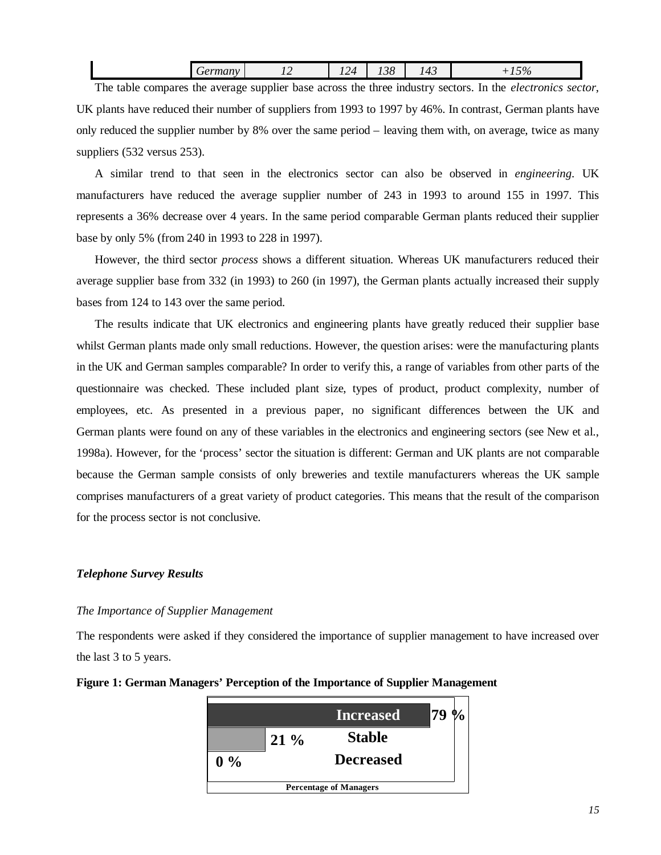| - 1 | -- | $\sim$ $\sim$<br>-- | $\sim$<br>. .<br>∼ | .<br>$\overline{\phantom{a}}$<br><b>.</b> | $\sim$ $\sim$<br><b>TV</b><br>. . |
|-----|----|---------------------|--------------------|-------------------------------------------|-----------------------------------|
|     |    |                     |                    |                                           |                                   |

The table compares the average supplier base across the three industry sectors. In the *electronics sector*, UK plants have reduced their number of suppliers from 1993 to 1997 by 46%. In contrast, German plants have only reduced the supplier number by 8% over the same period – leaving them with, on average, twice as many suppliers (532 versus 253).

A similar trend to that seen in the electronics sector can also be observed in *engineering*. UK manufacturers have reduced the average supplier number of 243 in 1993 to around 155 in 1997. This represents a 36% decrease over 4 years. In the same period comparable German plants reduced their supplier base by only 5% (from 240 in 1993 to 228 in 1997).

However, the third sector *process* shows a different situation. Whereas UK manufacturers reduced their average supplier base from 332 (in 1993) to 260 (in 1997), the German plants actually increased their supply bases from 124 to 143 over the same period.

The results indicate that UK electronics and engineering plants have greatly reduced their supplier base whilst German plants made only small reductions. However, the question arises: were the manufacturing plants in the UK and German samples comparable? In order to verify this, a range of variables from other parts of the questionnaire was checked. These included plant size, types of product, product complexity, number of employees, etc. As presented in a previous paper, no significant differences between the UK and German plants were found on any of these variables in the electronics and engineering sectors (see New et al., 1998a). However, for the 'process' sector the situation is different: German and UK plants are not comparable because the German sample consists of only breweries and textile manufacturers whereas the UK sample comprises manufacturers of a great variety of product categories. This means that the result of the comparison for the process sector is not conclusive.

#### *Telephone Survey Results*

#### *The Importance of Supplier Management*

The respondents were asked if they considered the importance of supplier management to have increased over the last 3 to 5 years.



#### **Figure 1: German Managers' Perception of the Importance of Supplier Management**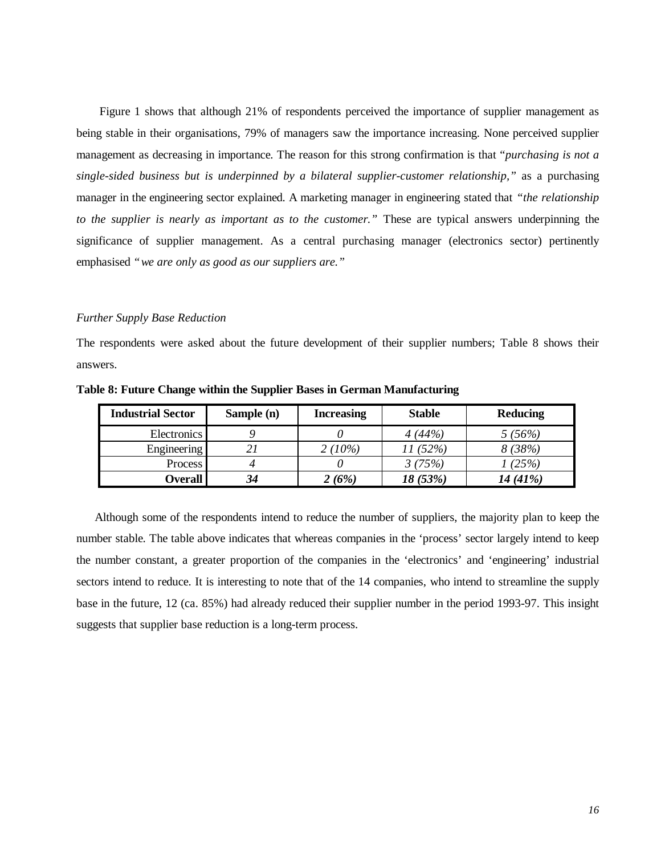Figure 1 shows that although 21% of respondents perceived the importance of supplier management as being stable in their organisations, 79% of managers saw the importance increasing. None perceived supplier management as decreasing in importance. The reason for this strong confirmation is that "*purchasing is not a single-sided business but is underpinned by a bilateral supplier-customer relationship,"* as a purchasing manager in the engineering sector explained. A marketing manager in engineering stated that *"the relationship to the supplier is nearly as important as to the customer."* These are typical answers underpinning the significance of supplier management. As a central purchasing manager (electronics sector) pertinently emphasised *"we are only as good as our suppliers are."*

#### *Further Supply Base Reduction*

The respondents were asked about the future development of their supplier numbers; Table 8 shows their answers.

| <b>Industrial Sector</b> | Sample (n) | <b>Increasing</b> | <b>Stable</b> | Reducing |
|--------------------------|------------|-------------------|---------------|----------|
| <b>Electronics</b>       |            |                   | 4(44%)        | 5(56%)   |
| <b>Engineering</b>       | 21         | $2(10\%)$         | 11 (52%)      | 8(38%)   |
| Process                  |            |                   | 3(75%)        | 1(25%)   |
| <b>Overall  </b>         | 34         | 2 (6%)            | 18 (53%)      | 14 (41%) |

**Table 8: Future Change within the Supplier Bases in German Manufacturing**

Although some of the respondents intend to reduce the number of suppliers, the majority plan to keep the number stable. The table above indicates that whereas companies in the 'process' sector largely intend to keep the number constant, a greater proportion of the companies in the 'electronics' and 'engineering' industrial sectors intend to reduce. It is interesting to note that of the 14 companies, who intend to streamline the supply base in the future, 12 (ca. 85%) had already reduced their supplier number in the period 1993-97. This insight suggests that supplier base reduction is a long-term process.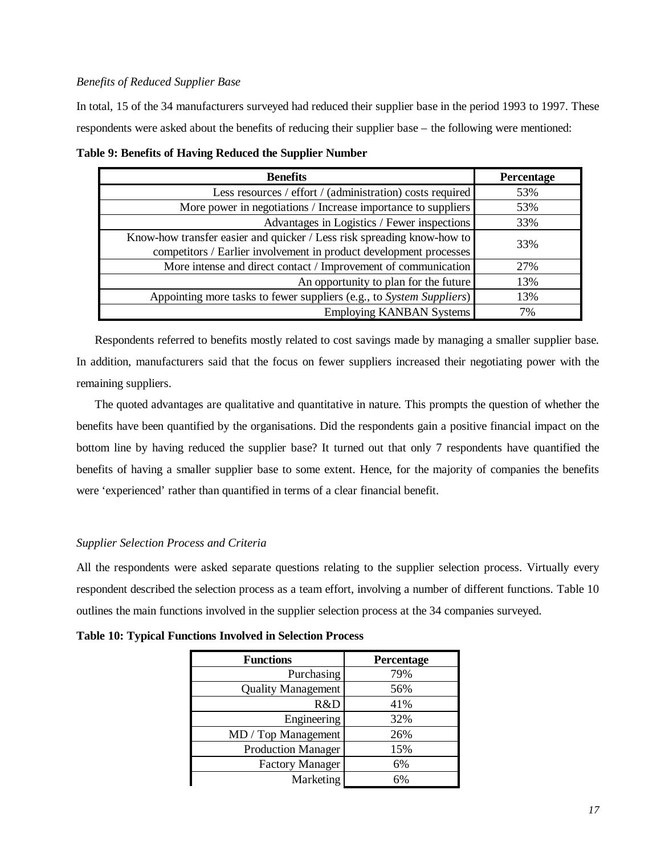## *Benefits of Reduced Supplier Base*

In total, 15 of the 34 manufacturers surveyed had reduced their supplier base in the period 1993 to 1997. These respondents were asked about the benefits of reducing their supplier base – the following were mentioned:

| <b>Benefits</b>                                                        | Percentage |
|------------------------------------------------------------------------|------------|
| Less resources / effort / (administration) costs required              | 53%        |
| More power in negotiations / Increase importance to suppliers          | 53%        |
| Advantages in Logistics / Fewer inspections                            | 33%        |
| Know-how transfer easier and quicker / Less risk spreading know-how to | 33%        |
| competitors / Earlier involvement in product development processes     |            |
| More intense and direct contact / Improvement of communication         | 27%        |
| An opportunity to plan for the future                                  | 13%        |
| Appointing more tasks to fewer suppliers (e.g., to System Suppliers)   | 13%        |
| <b>Employing KANBAN Systems</b>                                        | 7%         |

**Table 9: Benefits of Having Reduced the Supplier Number**

Respondents referred to benefits mostly related to cost savings made by managing a smaller supplier base. In addition, manufacturers said that the focus on fewer suppliers increased their negotiating power with the remaining suppliers.

The quoted advantages are qualitative and quantitative in nature. This prompts the question of whether the benefits have been quantified by the organisations. Did the respondents gain a positive financial impact on the bottom line by having reduced the supplier base? It turned out that only 7 respondents have quantified the benefits of having a smaller supplier base to some extent. Hence, for the majority of companies the benefits were 'experienced' rather than quantified in terms of a clear financial benefit.

#### *Supplier Selection Process and Criteria*

All the respondents were asked separate questions relating to the supplier selection process. Virtually every respondent described the selection process as a team effort, involving a number of different functions. Table 10 outlines the main functions involved in the supplier selection process at the 34 companies surveyed.

| <b>Functions</b>          | Percentage |
|---------------------------|------------|
| Purchasing                | 79%        |
| <b>Quality Management</b> | 56%        |
| R&D                       | 41%        |
| Engineering               | 32%        |
| MD / Top Management       | 26%        |
| <b>Production Manager</b> | 15%        |
| <b>Factory Manager</b>    | 6%         |
| Marketing                 | 6%         |

**Table 10: Typical Functions Involved in Selection Process**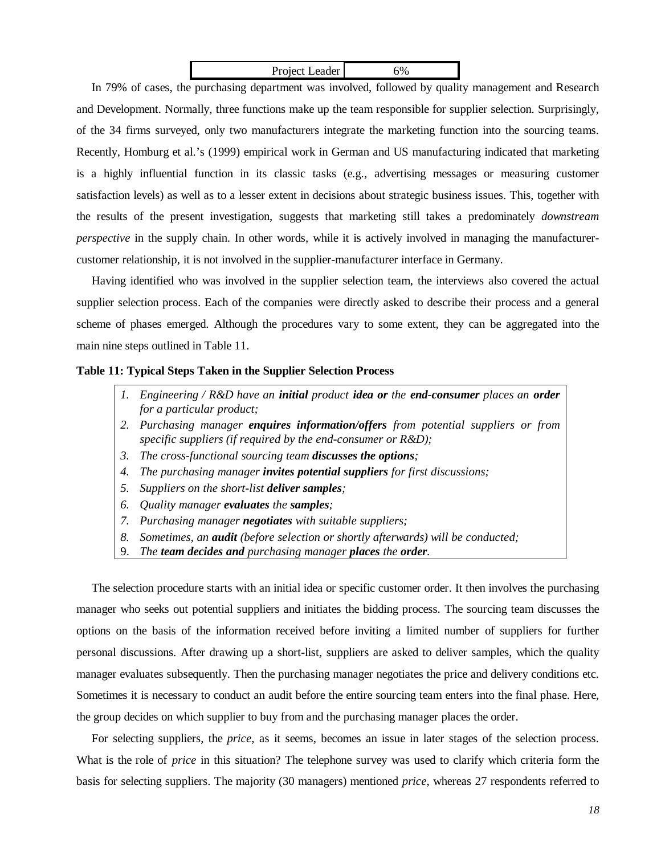| Project Leader | 6% |
|----------------|----|

In 79% of cases, the purchasing department was involved, followed by quality management and Research and Development. Normally, three functions make up the team responsible for supplier selection. Surprisingly, of the 34 firms surveyed, only two manufacturers integrate the marketing function into the sourcing teams. Recently, Homburg et al.'s (1999) empirical work in German and US manufacturing indicated that marketing is a highly influential function in its classic tasks (e.g., advertising messages or measuring customer satisfaction levels) as well as to a lesser extent in decisions about strategic business issues. This, together with the results of the present investigation, suggests that marketing still takes a predominately *downstream perspective* in the supply chain. In other words, while it is actively involved in managing the manufacturercustomer relationship, it is not involved in the supplier-manufacturer interface in Germany.

Having identified who was involved in the supplier selection team, the interviews also covered the actual supplier selection process. Each of the companies were directly asked to describe their process and a general scheme of phases emerged. Although the procedures vary to some extent, they can be aggregated into the main nine steps outlined in Table 11.

#### **Table 11: Typical Steps Taken in the Supplier Selection Process**

- *1. Engineering / R&D have an initial product idea or the end-consumer places an order for a particular product;*
- *2. Purchasing manager enquires information/offers from potential suppliers or from specific suppliers (if required by the end-consumer or R&D);*
- *3. The cross-functional sourcing team discusses the options;*
- *4. The purchasing manager invites potential suppliers for first discussions;*
- *5. Suppliers on the short-list deliver samples;*
- *6. Quality manager evaluates the samples;*
- *7. Purchasing manager negotiates with suitable suppliers;*
- *8. Sometimes, an audit (before selection or shortly afterwards) will be conducted;*
- 9. *The team decides and purchasing manager places the order.*

The selection procedure starts with an initial idea or specific customer order. It then involves the purchasing manager who seeks out potential suppliers and initiates the bidding process. The sourcing team discusses the options on the basis of the information received before inviting a limited number of suppliers for further personal discussions. After drawing up a short-list, suppliers are asked to deliver samples, which the quality manager evaluates subsequently. Then the purchasing manager negotiates the price and delivery conditions etc. Sometimes it is necessary to conduct an audit before the entire sourcing team enters into the final phase. Here, the group decides on which supplier to buy from and the purchasing manager places the order.

For selecting suppliers, the *price*, as it seems, becomes an issue in later stages of the selection process. What is the role of *price* in this situation? The telephone survey was used to clarify which criteria form the basis for selecting suppliers. The majority (30 managers) mentioned *price*, whereas 27 respondents referred to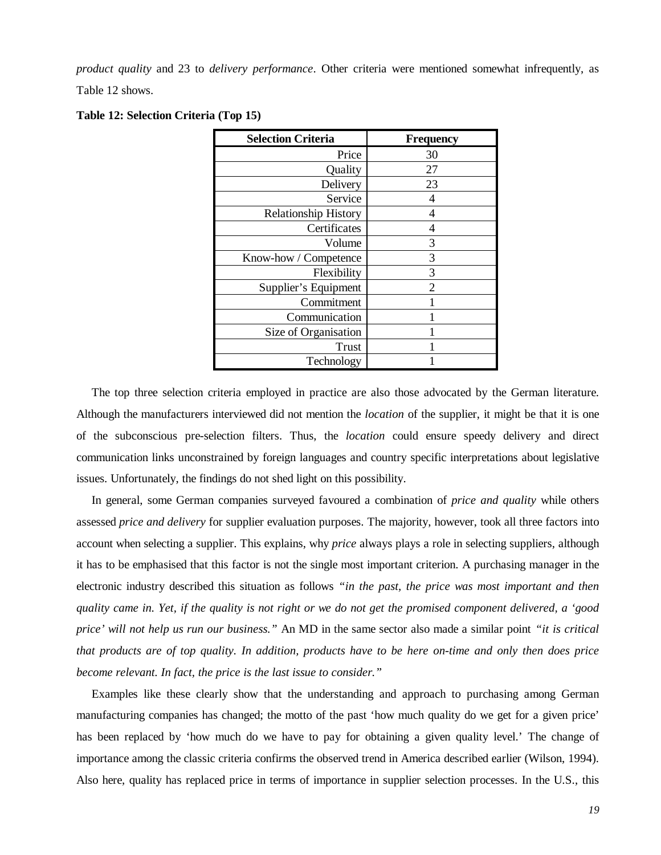*product quality* and 23 to *delivery performance*. Other criteria were mentioned somewhat infrequently, as Table 12 shows.

|  | Table 12: Selection Criteria (Top 15) |  |  |  |
|--|---------------------------------------|--|--|--|
|--|---------------------------------------|--|--|--|

| <b>Selection Criteria</b>   | <b>Frequency</b> |
|-----------------------------|------------------|
| Price                       | 30               |
| Quality                     | 27               |
| Delivery                    | 23               |
| Service                     | 4                |
| <b>Relationship History</b> | 4                |
| Certificates                | 4                |
| Volume                      | 3                |
| Know-how / Competence       | 3                |
| Flexibility                 | 3                |
| Supplier's Equipment        | $\overline{2}$   |
| Commitment                  |                  |
| Communication               |                  |
| Size of Organisation        |                  |
| <b>Trust</b>                |                  |
| Technology                  |                  |

The top three selection criteria employed in practice are also those advocated by the German literature. Although the manufacturers interviewed did not mention the *location* of the supplier, it might be that it is one of the subconscious pre-selection filters. Thus, the *location* could ensure speedy delivery and direct communication links unconstrained by foreign languages and country specific interpretations about legislative issues. Unfortunately, the findings do not shed light on this possibility.

In general, some German companies surveyed favoured a combination of *price and quality* while others assessed *price and delivery* for supplier evaluation purposes. The majority, however, took all three factors into account when selecting a supplier. This explains, why *price* always plays a role in selecting suppliers, although it has to be emphasised that this factor is not the single most important criterion. A purchasing manager in the electronic industry described this situation as follows *"in the past, the price was most important and then quality came in. Yet, if the quality is not right or we do not get the promised component delivered, a 'good price' will not help us run our business."* An MD in the same sector also made a similar point *"it is critical that products are of top quality. In addition, products have to be here on-time and only then does price become relevant. In fact, the price is the last issue to consider."*

Examples like these clearly show that the understanding and approach to purchasing among German manufacturing companies has changed; the motto of the past 'how much quality do we get for a given price' has been replaced by 'how much do we have to pay for obtaining a given quality level.' The change of importance among the classic criteria confirms the observed trend in America described earlier (Wilson, 1994). Also here, quality has replaced price in terms of importance in supplier selection processes. In the U.S., this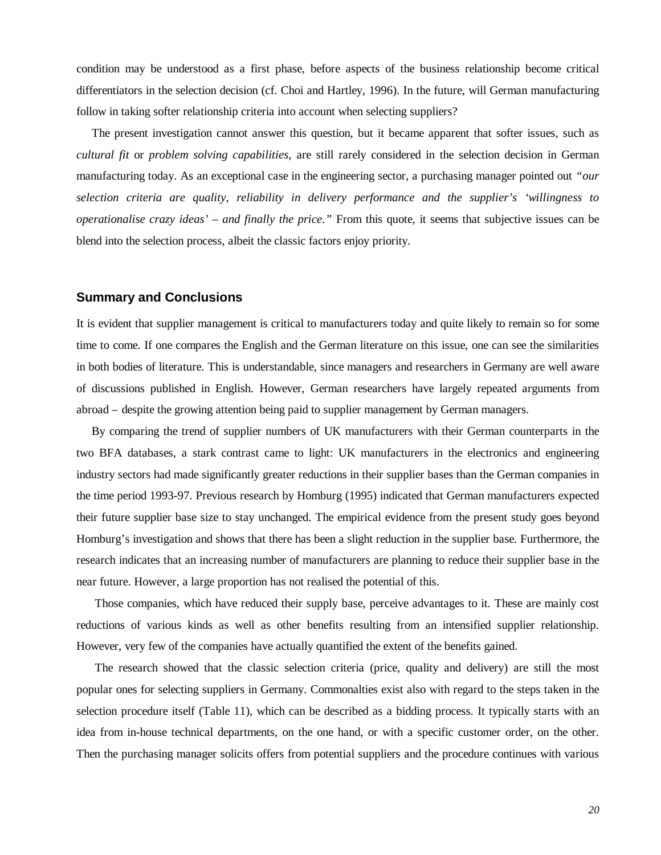condition may be understood as a first phase, before aspects of the business relationship become critical differentiators in the selection decision (cf. Choi and Hartley, 1996). In the future, will German manufacturing follow in taking softer relationship criteria into account when selecting suppliers?

The present investigation cannot answer this question, but it became apparent that softer issues, such as *cultural fit* or *problem solving capabilities*, are still rarely considered in the selection decision in German manufacturing today. As an exceptional case in the engineering sector, a purchasing manager pointed out *"our selection criteria are quality, reliability in delivery performance and the supplier's 'willingness to operationalise crazy ideas' – and finally the price."* From this quote, it seems that subjective issues can be blend into the selection process, albeit the classic factors enjoy priority.

## **Summary and Conclusions**

It is evident that supplier management is critical to manufacturers today and quite likely to remain so for some time to come. If one compares the English and the German literature on this issue, one can see the similarities in both bodies of literature. This is understandable, since managers and researchers in Germany are well aware of discussions published in English. However, German researchers have largely repeated arguments from abroad – despite the growing attention being paid to supplier management by German managers.

By comparing the trend of supplier numbers of UK manufacturers with their German counterparts in the two BFA databases, a stark contrast came to light: UK manufacturers in the electronics and engineering industry sectors had made significantly greater reductions in their supplier bases than the German companies in the time period 1993-97. Previous research by Homburg (1995) indicated that German manufacturers expected their future supplier base size to stay unchanged. The empirical evidence from the present study goes beyond Homburg's investigation and shows that there has been a slight reduction in the supplier base. Furthermore, the research indicates that an increasing number of manufacturers are planning to reduce their supplier base in the near future. However, a large proportion has not realised the potential of this.

Those companies, which have reduced their supply base, perceive advantages to it. These are mainly cost reductions of various kinds as well as other benefits resulting from an intensified supplier relationship. However, very few of the companies have actually quantified the extent of the benefits gained.

The research showed that the classic selection criteria (price, quality and delivery) are still the most popular ones for selecting suppliers in Germany. Commonalties exist also with regard to the steps taken in the selection procedure itself (Table 11), which can be described as a bidding process. It typically starts with an idea from in-house technical departments, on the one hand, or with a specific customer order, on the other. Then the purchasing manager solicits offers from potential suppliers and the procedure continues with various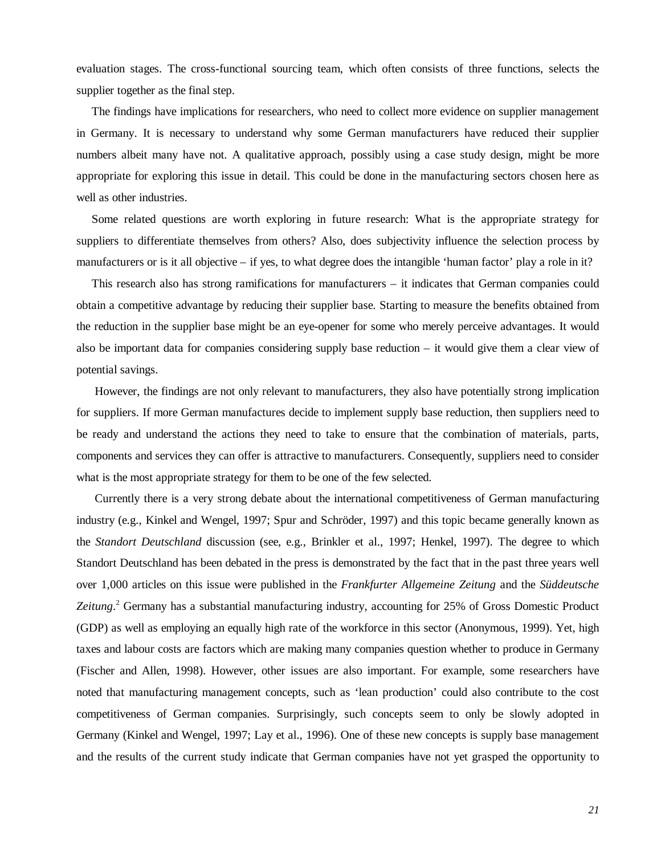evaluation stages. The cross-functional sourcing team, which often consists of three functions, selects the supplier together as the final step.

The findings have implications for researchers, who need to collect more evidence on supplier management in Germany. It is necessary to understand why some German manufacturers have reduced their supplier numbers albeit many have not. A qualitative approach, possibly using a case study design, might be more appropriate for exploring this issue in detail. This could be done in the manufacturing sectors chosen here as well as other industries.

Some related questions are worth exploring in future research: What is the appropriate strategy for suppliers to differentiate themselves from others? Also, does subjectivity influence the selection process by manufacturers or is it all objective – if yes, to what degree does the intangible 'human factor' play a role in it?

This research also has strong ramifications for manufacturers – it indicates that German companies could obtain a competitive advantage by reducing their supplier base. Starting to measure the benefits obtained from the reduction in the supplier base might be an eye-opener for some who merely perceive advantages. It would also be important data for companies considering supply base reduction – it would give them a clear view of potential savings.

However, the findings are not only relevant to manufacturers, they also have potentially strong implication for suppliers. If more German manufactures decide to implement supply base reduction, then suppliers need to be ready and understand the actions they need to take to ensure that the combination of materials, parts, components and services they can offer is attractive to manufacturers. Consequently, suppliers need to consider what is the most appropriate strategy for them to be one of the few selected.

Currently there is a very strong debate about the international competitiveness of German manufacturing industry (e.g., Kinkel and Wengel, 1997; Spur and Schröder, 1997) and this topic became generally known as the *Standort Deutschland* discussion (see, e.g., Brinkler et al., 1997; Henkel, 1997). The degree to which Standort Deutschland has been debated in the press is demonstrated by the fact that in the past three years well over 1,000 articles on this issue were published in the *Frankfurter Allgemeine Zeitung* and the *Süddeutsche* Zeitung.<sup>2</sup> Germany has a substantial manufacturing industry, accounting for 25% of Gross Domestic Product (GDP) as well as employing an equally high rate of the workforce in this sector (Anonymous, 1999). Yet, high taxes and labour costs are factors which are making many companies question whether to produce in Germany (Fischer and Allen, 1998). However, other issues are also important. For example, some researchers have noted that manufacturing management concepts, such as 'lean production' could also contribute to the cost competitiveness of German companies. Surprisingly, such concepts seem to only be slowly adopted in Germany (Kinkel and Wengel, 1997; Lay et al., 1996). One of these new concepts is supply base management and the results of the current study indicate that German companies have not yet grasped the opportunity to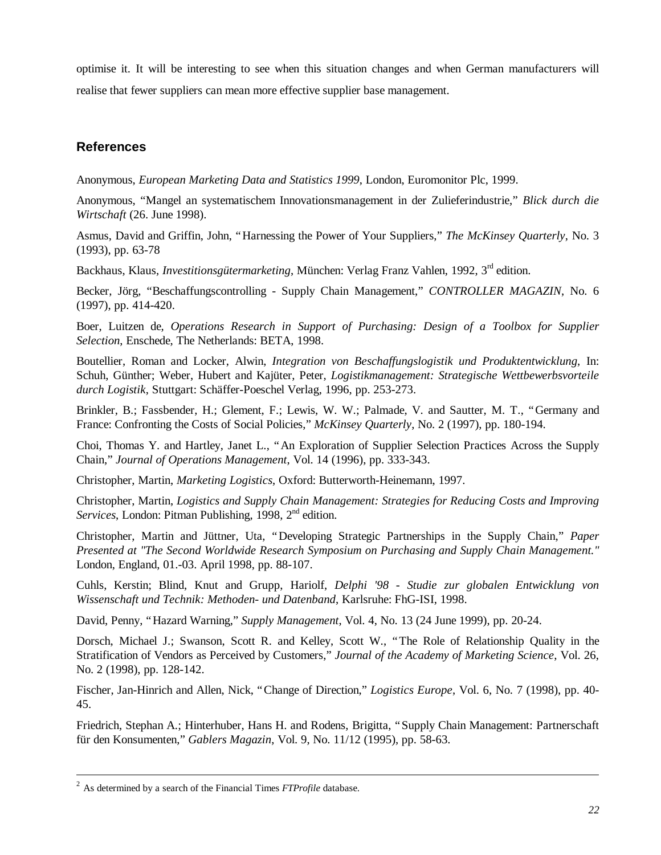optimise it. It will be interesting to see when this situation changes and when German manufacturers will realise that fewer suppliers can mean more effective supplier base management.

# **References**

Anonymous, *European Marketing Data and Statistics 1999*, London, Euromonitor Plc, 1999.

Anonymous, "Mangel an systematischem Innovationsmanagement in der Zulieferindustrie," *Blick durch die Wirtschaft* (26. June 1998).

Asmus, David and Griffin, John, "Harnessing the Power of Your Suppliers," *The McKinsey Quarterly*, No. 3 (1993), pp. 63-78

Backhaus, Klaus, *Investitionsgütermarketing*, München: Verlag Franz Vahlen, 1992, 3<sup>rd</sup> edition.

Becker, Jörg, "Beschaffungscontrolling - Supply Chain Management," *CONTROLLER MAGAZIN*, No. 6 (1997), pp. 414-420.

Boer, Luitzen de, *Operations Research in Support of Purchasing: Design of a Toolbox for Supplier Selection*, Enschede, The Netherlands: BETA, 1998.

Boutellier, Roman and Locker, Alwin, *Integration von Beschaffungslogistik und Produktentwicklung*, In: Schuh, Günther; Weber, Hubert and Kajüter, Peter, *Logistikmanagement: Strategische Wettbewerbsvorteile durch Logistik*, Stuttgart: Schäffer-Poeschel Verlag, 1996, pp. 253-273.

Brinkler, B.; Fassbender, H.; Glement, F.; Lewis, W. W.; Palmade, V. and Sautter, M. T., "Germany and France: Confronting the Costs of Social Policies," *McKinsey Quarterly*, No. 2 (1997), pp. 180-194.

Choi, Thomas Y. and Hartley, Janet L., "An Exploration of Supplier Selection Practices Across the Supply Chain," *Journal of Operations Management*, Vol. 14 (1996), pp. 333-343.

Christopher, Martin, *Marketing Logistics*, Oxford: Butterworth-Heinemann, 1997.

Christopher, Martin, *Logistics and Supply Chain Management: Strategies for Reducing Costs and Improving Services*, London: Pitman Publishing, 1998, 2<sup>nd</sup> edition.

Christopher, Martin and Jüttner, Uta, "Developing Strategic Partnerships in the Supply Chain," *Paper Presented at "The Second Worldwide Research Symposium on Purchasing and Supply Chain Management."* London, England, 01.-03. April 1998, pp. 88-107.

Cuhls, Kerstin; Blind, Knut and Grupp, Hariolf, *Delphi '98 - Studie zur globalen Entwicklung von Wissenschaft und Technik: Methoden- und Datenband*, Karlsruhe: FhG-ISI, 1998.

David, Penny, "Hazard Warning," *Supply Management*, Vol. 4, No. 13 (24 June 1999), pp. 20-24.

Dorsch, Michael J.; Swanson, Scott R. and Kelley, Scott W., "The Role of Relationship Quality in the Stratification of Vendors as Perceived by Customers," *Journal of the Academy of Marketing Science*, Vol. 26, No. 2 (1998), pp. 128-142.

Fischer, Jan-Hinrich and Allen, Nick, "Change of Direction," *Logistics Europe*, Vol. 6, No. 7 (1998), pp. 40- 45.

Friedrich, Stephan A.; Hinterhuber, Hans H. and Rodens, Brigitta, "Supply Chain Management: Partnerschaft für den Konsumenten," *Gablers Magazin*, Vol. 9, No. 11/12 (1995), pp. 58-63.

1

<sup>2</sup> As determined by a search of the Financial Times *FTProfile* database.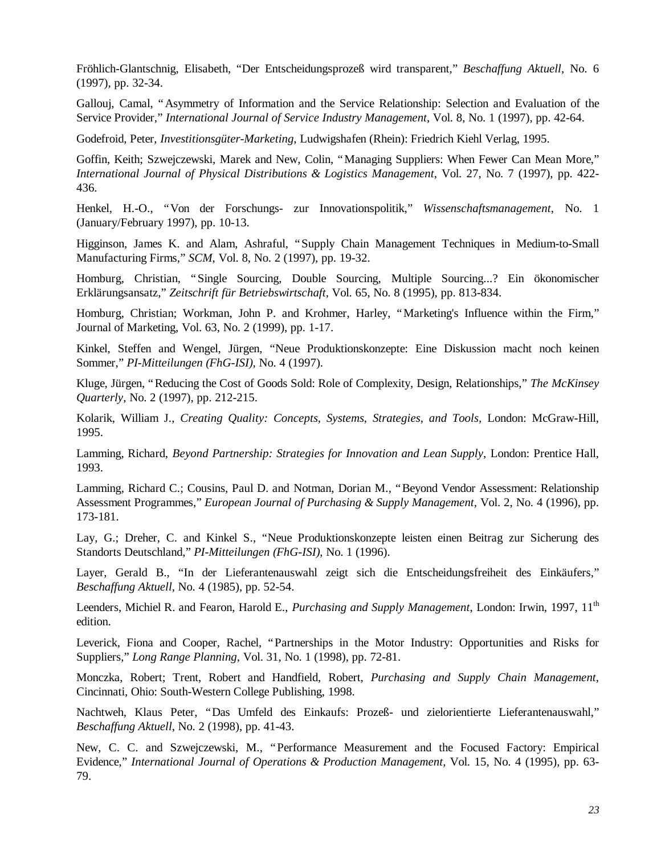Fröhlich-Glantschnig, Elisabeth, "Der Entscheidungsprozeß wird transparent," *Beschaffung Aktuell*, No. 6 (1997), pp. 32-34.

Gallouj, Camal, "Asymmetry of Information and the Service Relationship: Selection and Evaluation of the Service Provider," *International Journal of Service Industry Management*, Vol. 8, No. 1 (1997), pp. 42-64.

Godefroid, Peter, *Investitionsgüter-Marketing*, Ludwigshafen (Rhein): Friedrich Kiehl Verlag, 1995.

Goffin, Keith; Szwejczewski, Marek and New, Colin, "Managing Suppliers: When Fewer Can Mean More," *International Journal of Physical Distributions & Logistics Management*, Vol. 27, No. 7 (1997), pp. 422- 436.

Henkel, H.-O., "Von der Forschungs- zur Innovationspolitik," *Wissenschaftsmanagement*, No. 1 (January/February 1997), pp. 10-13.

Higginson, James K. and Alam, Ashraful, "Supply Chain Management Techniques in Medium-to-Small Manufacturing Firms," *SCM*, Vol. 8, No. 2 (1997), pp. 19-32.

Homburg, Christian, "Single Sourcing, Double Sourcing, Multiple Sourcing...? Ein ökonomischer Erklärungsansatz," *Zeitschrift für Betriebswirtschaft*, Vol. 65, No. 8 (1995), pp. 813-834.

Homburg, Christian; Workman, John P. and Krohmer, Harley, "Marketing's Influence within the Firm," Journal of Marketing, Vol. 63, No. 2 (1999), pp. 1-17.

Kinkel, Steffen and Wengel, Jürgen, "Neue Produktionskonzepte: Eine Diskussion macht noch keinen Sommer," *PI-Mitteilungen (FhG-ISI),* No. 4 (1997).

Kluge, Jürgen, "Reducing the Cost of Goods Sold: Role of Complexity, Design, Relationships," *The McKinsey Quarterly*, No. 2 (1997), pp. 212-215.

Kolarik, William J., *Creating Quality: Concepts, Systems, Strategies, and Tools,* London: McGraw-Hill, 1995.

Lamming, Richard, *Beyond Partnership: Strategies for Innovation and Lean Supply*, London: Prentice Hall, 1993.

Lamming, Richard C.; Cousins, Paul D. and Notman, Dorian M., "Beyond Vendor Assessment: Relationship Assessment Programmes," *European Journal of Purchasing & Supply Management*, Vol. 2, No. 4 (1996), pp. 173-181.

Lay, G.; Dreher, C. and Kinkel S., "Neue Produktionskonzepte leisten einen Beitrag zur Sicherung des Standorts Deutschland," *PI-Mitteilungen (FhG-ISI)*, No. 1 (1996).

Layer, Gerald B., "In der Lieferantenauswahl zeigt sich die Entscheidungsfreiheit des Einkäufers," *Beschaffung Aktuell*, No. 4 (1985), pp. 52-54.

Leenders, Michiel R. and Fearon, Harold E., *Purchasing and Supply Management*, London: Irwin, 1997, 11<sup>th</sup> edition.

Leverick, Fiona and Cooper, Rachel, "Partnerships in the Motor Industry: Opportunities and Risks for Suppliers," *Long Range Planning*, Vol. 31, No. 1 (1998), pp. 72-81.

Monczka, Robert; Trent, Robert and Handfield, Robert, *Purchasing and Supply Chain Management*, Cincinnati, Ohio: South-Western College Publishing, 1998.

Nachtweh, Klaus Peter, "Das Umfeld des Einkaufs: Prozeß- und zielorientierte Lieferantenauswahl," *Beschaffung Aktuell*, No. 2 (1998), pp. 41-43.

New, C. C. and Szwejczewski, M., "Performance Measurement and the Focused Factory: Empirical Evidence," *International Journal of Operations & Production Management*, Vol. 15, No. 4 (1995), pp. 63- 79.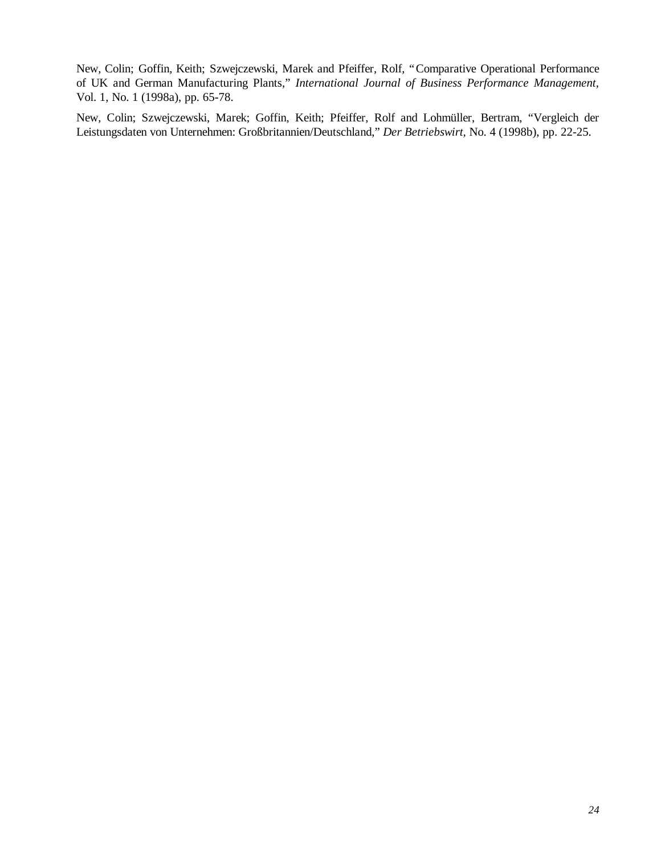New, Colin; Goffin, Keith; Szwejczewski, Marek and Pfeiffer, Rolf, "Comparative Operational Performance of UK and German Manufacturing Plants," *International Journal of Business Performance Management*, Vol. 1, No. 1 (1998a), pp. 65-78.

New, Colin; Szwejczewski, Marek; Goffin, Keith; Pfeiffer, Rolf and Lohmüller, Bertram, "Vergleich der Leistungsdaten von Unternehmen: Großbritannien/Deutschland," *Der Betriebswirt,* No. 4 (1998b), pp. 22-25.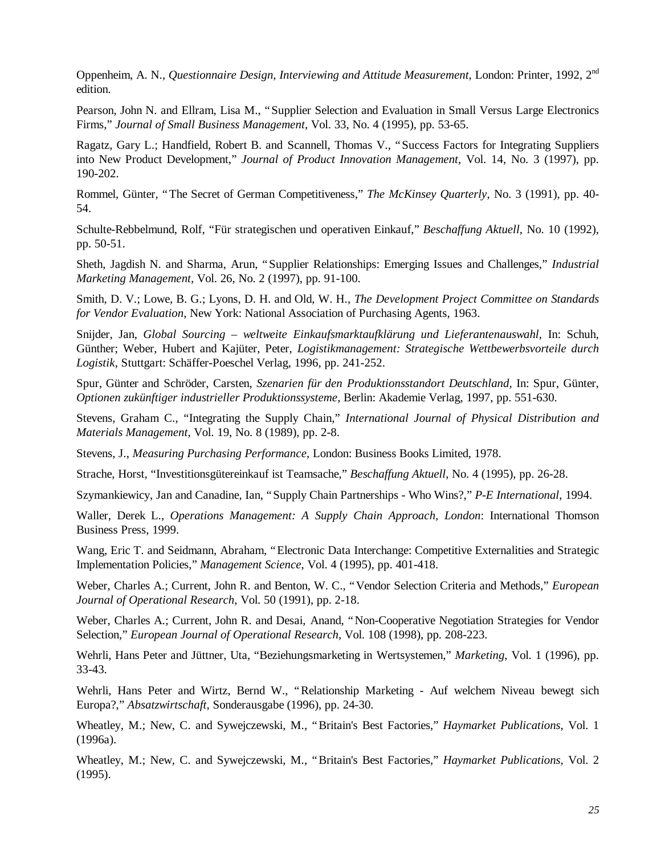Oppenheim, A. N., *Questionnaire Design, Interviewing and Attitude Measurement*, London: Printer, 1992, 2nd edition.

Pearson, John N. and Ellram, Lisa M., "Supplier Selection and Evaluation in Small Versus Large Electronics Firms," *Journal of Small Business Management*, Vol. 33, No. 4 (1995), pp. 53-65.

Ragatz, Gary L.; Handfield, Robert B. and Scannell, Thomas V., "Success Factors for Integrating Suppliers into New Product Development," *Journal of Product Innovation Management*, Vol. 14, No. 3 (1997), pp. 190-202.

Rommel, Günter, "The Secret of German Competitiveness," *The McKinsey Quarterly*, No. 3 (1991), pp. 40- 54.

Schulte-Rebbelmund, Rolf, "Für strategischen und operativen Einkauf," *Beschaffung Aktuell*, No. 10 (1992), pp. 50-51.

Sheth, Jagdish N. and Sharma, Arun, "Supplier Relationships: Emerging Issues and Challenges," *Industrial Marketing Management*, Vol. 26, No. 2 (1997), pp. 91-100.

Smith, D. V.; Lowe, B. G.; Lyons, D. H. and Old, W. H., *The Development Project Committee on Standards for Vendor Evaluation*, New York: National Association of Purchasing Agents, 1963.

Snijder, Jan, *Global Sourcing – weltweite Einkaufsmarktaufklärung und Lieferantenauswahl*, In: Schuh, Günther; Weber, Hubert and Kajüter, Peter, *Logistikmanagement: Strategische Wettbewerbsvorteile durch Logistik*, Stuttgart: Schäffer-Poeschel Verlag, 1996, pp. 241-252.

Spur, Günter and Schröder, Carsten, *Szenarien für den Produktionsstandort Deutschland*, In: Spur, Günter, *Optionen zukünftiger industrieller Produktionssysteme*, Berlin: Akademie Verlag, 1997, pp. 551-630.

Stevens, Graham C., "Integrating the Supply Chain," *International Journal of Physical Distribution and Materials Management*, Vol. 19, No. 8 (1989), pp. 2-8.

Stevens, J., *Measuring Purchasing Performance*, London: Business Books Limited, 1978.

Strache, Horst, "Investitionsgütereinkauf ist Teamsache," *Beschaffung Aktuell*, No. 4 (1995), pp. 26-28.

Szymankiewicy, Jan and Canadine, Ian, "Supply Chain Partnerships - Who Wins?," *P-E International*, 1994.

Waller, Derek L., *Operations Management: A Supply Chain Approach, London*: International Thomson Business Press, 1999.

Wang, Eric T. and Seidmann, Abraham, "Electronic Data Interchange: Competitive Externalities and Strategic Implementation Policies," *Management Science*, Vol. 4 (1995), pp. 401-418.

Weber, Charles A.; Current, John R. and Benton, W. C., "Vendor Selection Criteria and Methods," *European Journal of Operational Research*, Vol. 50 (1991), pp. 2-18.

Weber, Charles A.; Current, John R. and Desai, Anand, "Non-Cooperative Negotiation Strategies for Vendor Selection," *European Journal of Operational Research*, Vol. 108 (1998), pp. 208-223.

Wehrli, Hans Peter and Jüttner, Uta, "Beziehungsmarketing in Wertsystemen," *Marketing*, Vol. 1 (1996), pp. 33-43.

Wehrli, Hans Peter and Wirtz, Bernd W., "Relationship Marketing - Auf welchem Niveau bewegt sich Europa?," *Absatzwirtschaft*, Sonderausgabe (1996), pp. 24-30.

Wheatley, M.; New, C. and Sywejczewski, M., "Britain's Best Factories," *Haymarket Publications*, Vol. 1 (1996a).

Wheatley, M.; New, C. and Sywejczewski, M., "Britain's Best Factories," *Haymarket Publications*, Vol. 2 (1995).